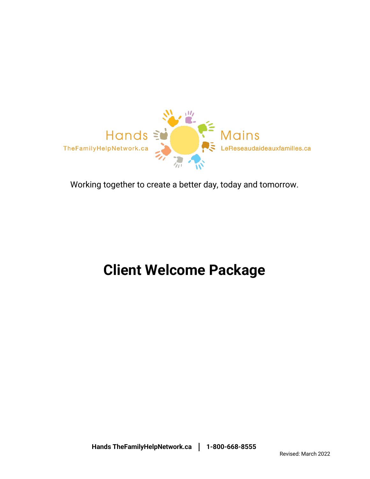

Working together to create a better day, today and tomorrow.

# **Client Welcome Package**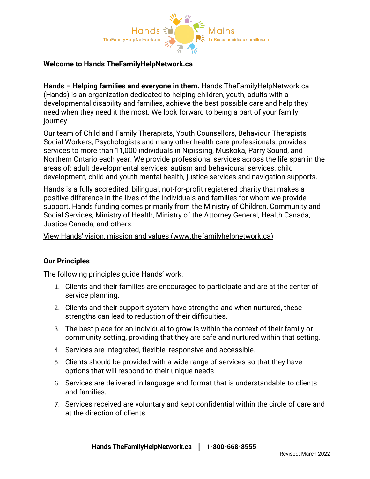

#### **Welcome to Hands TheFamilyHelpNetwork.ca**

**Hands – Helping families and everyone in them.** Hands TheFamilyHelpNetwork.ca (Hands) is an organization dedicated to helping children, youth, adults with a developmental disability and families, achieve the best possible care and help they need when they need it the most. We look forward to being a part of your family journey.

Our team of Child and Family Therapists, Youth Counsellors, Behaviour Therapists, Social Workers, Psychologists and many other health care professionals, provides services to more than 11,000 individuals in Nipissing, Muskoka, Parry Sound, and Northern Ontario each year. We provide professional services across the life span in the areas of: adult developmental services, autism and behavioural services, child development, child and youth mental health, justice services and navigation supports.

Hands is a fully accredited, bilingual, not-for-profit registered charity that makes a positive difference in the lives of the individuals and families for whom we provide support. Hands funding comes primarily from the Ministry of Children, Community and Social Services, Ministry of Health, Ministry of the Attorney General, Health Canada, Justice Canada, and others.

[View Hands' vision, mission and values \(www.thefamilyhelpnetwork.ca\)](https://thefamilyhelpnetwork.ca/about-us/mission-vision-and-values/)

#### **Our Principles**

The following principles guide Hands' work:

- 1. Clients and their families are encouraged to participate and are at the center of service planning.
- 2. Clients and their support system have strengths and when nurtured, these strengths can lead to reduction of their difficulties.
- 3. The best place for an individual to grow is within the context of their family o**r** community setting, providing that they are safe and nurtured within that setting.
- 4. Services are integrated, flexible, responsive and accessible.
- 5. Clients should be provided with a wide range of services so that they have options that will respond to their unique needs.
- 6. Services are delivered in language and format that is understandable to clients and families.
- 7. Services received are voluntary and kept confidential within the circle of care and at the direction of clients.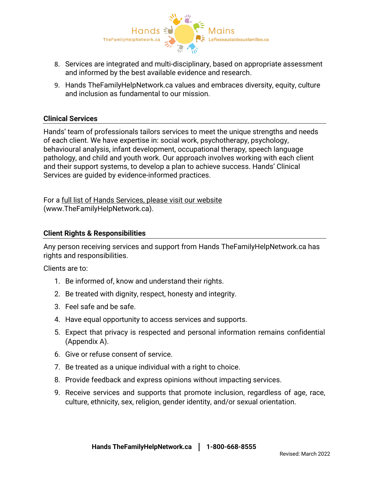

- 8. Services are integrated and multi-disciplinary, based on appropriate assessment and informed by the best available evidence and research.
- 9. Hands TheFamilyHelpNetwork.ca values and embraces diversity, equity, culture and inclusion as fundamental to our mission.

#### **Clinical Services**

Hands' team of professionals tailors services to meet the unique strengths and needs of each client. We have expertise in: social work, psychotherapy, psychology, behavioural analysis, infant development, occupational therapy, speech language pathology, and child and youth work. Our approach involves working with each client and their support systems, to develop a plan to achieve success. Hands' Clinical Services are guided by evidence-informed practices.

For a [full list of Hands Services, please visit our website](https://thefamilyhelpnetwork.ca/services/) (www.TheFamilyHelpNetwork.ca).

#### **Client Rights & Responsibilities**

Any person receiving services and support from Hands TheFamilyHelpNetwork.ca has rights and responsibilities.

Clients are to:

- 1. Be informed of, know and understand their rights.
- 2. Be treated with dignity, respect, honesty and integrity.
- 3. Feel safe and be safe.
- 4. Have equal opportunity to access services and supports.
- 5. Expect that privacy is respected and personal information remains confidential (Appendix A).
- 6. Give or refuse consent of service.
- 7. Be treated as a unique individual with a right to choice.
- 8. Provide feedback and express opinions without impacting services.
- 9. Receive services and supports that promote inclusion, regardless of age, race, culture, ethnicity, sex, religion, gender identity, and/or sexual orientation.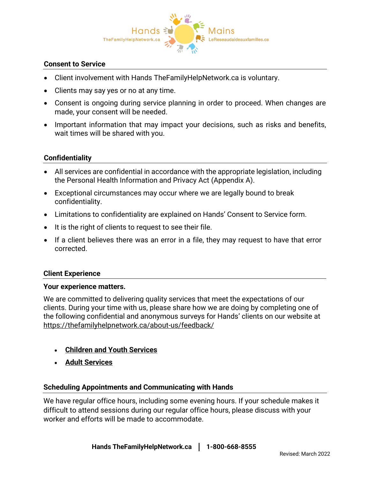

#### **Consent to Service**

- Client involvement with Hands TheFamilyHelpNetwork.ca is voluntary.
- Clients may say yes or no at any time.
- Consent is ongoing during service planning in order to proceed. When changes are made, your consent will be needed.
- Important information that may impact your decisions, such as risks and benefits, wait times will be shared with you.

#### **Confidentiality**

- All services are confidential in accordance with the appropriate legislation, including the Personal Health Information and Privacy Act (Appendix A).
- Exceptional circumstances may occur where we are legally bound to break confidentiality.
- Limitations to confidentiality are explained on Hands' Consent to Service form.
- It is the right of clients to request to see their file.
- If a client believes there was an error in a file, they may request to have that error corrected.

#### **Client Experience**

#### **Your experience matters.**

We are committed to delivering quality services that meet the expectations of our clients. During your time with us, please share how we are doing by completing one of the following confidential and anonymous surveys for Hands' clients on our website at <https://thefamilyhelpnetwork.ca/about-us/feedback/>

- **[Children and Youth Services](https://www.surveymonkey.com/r/Client2019_English)**
- **[Adult Services](https://www.surveymonkey.com/r/Client_Experience_AdultServices_English)**

#### **Scheduling Appointments and Communicating with Hands**

We have regular office hours, including some evening hours. If your schedule makes it difficult to attend sessions during our regular office hours, please discuss with your worker and efforts will be made to accommodate.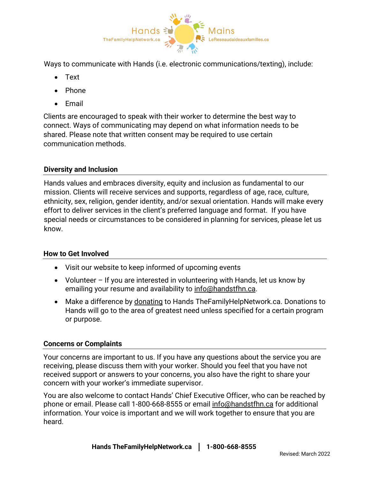

Ways to communicate with Hands (i.e. electronic communications/texting), include:

- Text
- Phone
- Email

Clients are encouraged to speak with their worker to determine the best way to connect. Ways of communicating may depend on what information needs to be shared. Please note that written consent may be required to use certain communication methods.

# **Diversity and Inclusion**

Hands values and embraces diversity, equity and inclusion as fundamental to our mission. Clients will receive services and supports, regardless of age, race, culture, ethnicity, sex, religion, gender identity, and/or sexual orientation. Hands will make every effort to deliver services in the client's preferred language and format. If you have special needs or circumstances to be considered in planning for services, please let us know.

# **How to Get Involved**

- Visit our website to keep informed of upcoming events
- Volunteer If you are interested in volunteering with Hands, let us know by emailing your resume and availability to [info@handstfhn.ca.](mailto:info@handstfhn.ca)
- Make a difference by [donating](https://thefamilyhelpnetwork.ca/services/donate/) to Hands TheFamilyHelpNetwork.ca. Donations to Hands will go to the area of greatest need unless specified for a certain program or purpose.

# **Concerns or Complaints**

Your concerns are important to us. If you have any questions about the service you are receiving, please discuss them with your worker. Should you feel that you have not received support or answers to your concerns, you also have the right to share your concern with your worker's immediate supervisor.

You are also welcome to contact Hands' Chief Executive Officer, who can be reached by phone or email. Please call 1-800-668-8555 or email [info@handstfhn.ca](mailto:info@handstfhn.ca) for additional information. Your voice is important and we will work together to ensure that you are heard.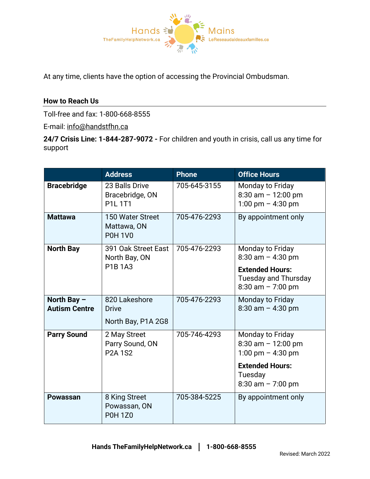

At any time, clients have the option of accessing the Provincial Ombudsman.

# **How to Reach Us**

Toll-free and fax: 1-800-668-8555

E-mail: [info@handstfhn.ca](mailto:info@handstfhn.ca)

**24/7 Crisis Line: 1-844-287-9072 -** For children and youth in crisis, call us any time for support

|                      | <b>Address</b>                                     | <b>Phone</b> | <b>Office Hours</b>                                                            |
|----------------------|----------------------------------------------------|--------------|--------------------------------------------------------------------------------|
| <b>Bracebridge</b>   | 23 Balls Drive<br>Bracebridge, ON<br><b>P1L1T1</b> | 705-645-3155 | Monday to Friday<br>$8:30$ am $-12:00$ pm<br>1:00 pm $-$ 4:30 pm               |
| <b>Mattawa</b>       | 150 Water Street<br>Mattawa, ON<br><b>P0H 1V0</b>  | 705-476-2293 | By appointment only                                                            |
| <b>North Bay</b>     | 391 Oak Street East<br>North Bay, ON<br>P1B 1A3    | 705-476-2293 | Monday to Friday<br>$8:30$ am $-4:30$ pm                                       |
|                      |                                                    |              | <b>Extended Hours:</b><br><b>Tuesday and Thursday</b><br>$8:30$ am $- 7:00$ pm |
| North Bay $-$        | 820 Lakeshore                                      | 705-476-2293 | <b>Monday to Friday</b>                                                        |
| <b>Autism Centre</b> | <b>Drive</b><br>North Bay, P1A 2G8                 |              | $8:30$ am $-4:30$ pm                                                           |
| <b>Parry Sound</b>   | 2 May Street<br>Parry Sound, ON<br><b>P2A 1S2</b>  | 705-746-4293 | Monday to Friday<br>$8:30$ am $- 12:00$ pm<br>1:00 pm $-$ 4:30 pm              |
|                      |                                                    |              | <b>Extended Hours:</b><br>Tuesday<br>$8:30$ am $- 7:00$ pm                     |
| <b>Powassan</b>      | 8 King Street<br>Powassan, ON<br><b>P0H 1Z0</b>    | 705-384-5225 | By appointment only                                                            |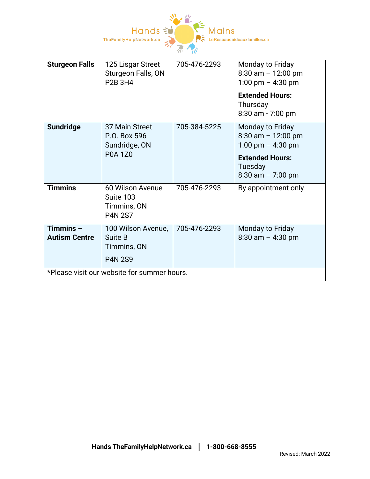

| <b>Sturgeon Falls</b>                       | 125 Lisgar Street<br>Sturgeon Falls, ON<br><b>P2B 3H4</b>         | 705-476-2293 | Monday to Friday<br>$8:30$ am $-12:00$ pm<br>1:00 pm $-$ 4:30 pm<br><b>Extended Hours:</b><br>Thursday<br>8:30 am - 7:00 pm    |  |
|---------------------------------------------|-------------------------------------------------------------------|--------------|--------------------------------------------------------------------------------------------------------------------------------|--|
| <b>Sundridge</b>                            | 37 Main Street<br>P.O. Box 596<br>Sundridge, ON<br><b>P0A 1Z0</b> | 705-384-5225 | Monday to Friday<br>$8:30$ am $- 12:00$ pm<br>1:00 pm $-$ 4:30 pm<br><b>Extended Hours:</b><br>Tuesday<br>$8:30$ am $-7:00$ pm |  |
| <b>Timmins</b>                              | 60 Wilson Avenue<br>Suite 103<br>Timmins, ON<br><b>P4N 2S7</b>    | 705-476-2293 | By appointment only                                                                                                            |  |
| Timmins $-$<br><b>Autism Centre</b>         | 100 Wilson Avenue,<br>Suite B<br>Timmins, ON<br><b>P4N 2S9</b>    | 705-476-2293 | Monday to Friday<br>$8:30$ am $-4:30$ pm                                                                                       |  |
| *Please visit our website for summer hours. |                                                                   |              |                                                                                                                                |  |